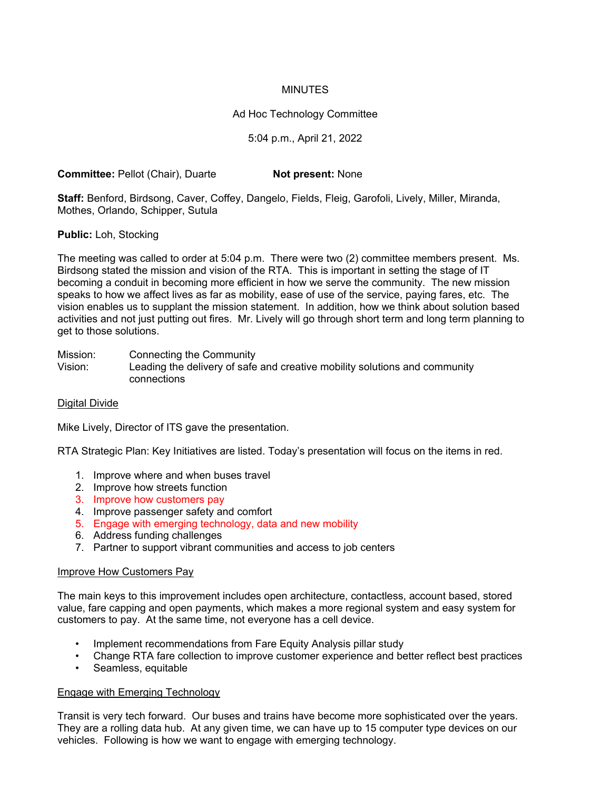## MINUTES

## Ad Hoc Technology Committee

### 5:04 p.m., April 21, 2022

**Committee:** Pellot (Chair), Duarte **Not present:** None

**Staff:** Benford, Birdsong, Caver, Coffey, Dangelo, Fields, Fleig, Garofoli, Lively, Miller, Miranda, Mothes, Orlando, Schipper, Sutula

**Public:** Loh, Stocking

The meeting was called to order at 5:04 p.m. There were two (2) committee members present. Ms. Birdsong stated the mission and vision of the RTA. This is important in setting the stage of IT becoming a conduit in becoming more efficient in how we serve the community. The new mission speaks to how we affect lives as far as mobility, ease of use of the service, paying fares, etc. The vision enables us to supplant the mission statement. In addition, how we think about solution based activities and not just putting out fires. Mr. Lively will go through short term and long term planning to get to those solutions.

Mission: Connecting the Community

Vision: Leading the delivery of safe and creative mobility solutions and community connections

### Digital Divide

Mike Lively, Director of ITS gave the presentation.

RTA Strategic Plan: Key Initiatives are listed. Today's presentation will focus on the items in red.

- 1. Improve where and when buses travel
- 2. Improve how streets function
- 3. Improve how customers pay
- 4. Improve passenger safety and comfort
- 5. Engage with emerging technology, data and new mobility
- 6. Address funding challenges
- 7. Partner to support vibrant communities and access to job centers

#### Improve How Customers Pay

The main keys to this improvement includes open architecture, contactless, account based, stored value, fare capping and open payments, which makes a more regional system and easy system for customers to pay. At the same time, not everyone has a cell device.

- Implement recommendations from Fare Equity Analysis pillar study
- Change RTA fare collection to improve customer experience and better reflect best practices
- Seamless, equitable

#### Engage with Emerging Technology

Transit is very tech forward. Our buses and trains have become more sophisticated over the years. They are a rolling data hub. At any given time, we can have up to 15 computer type devices on our vehicles. Following is how we want to engage with emerging technology.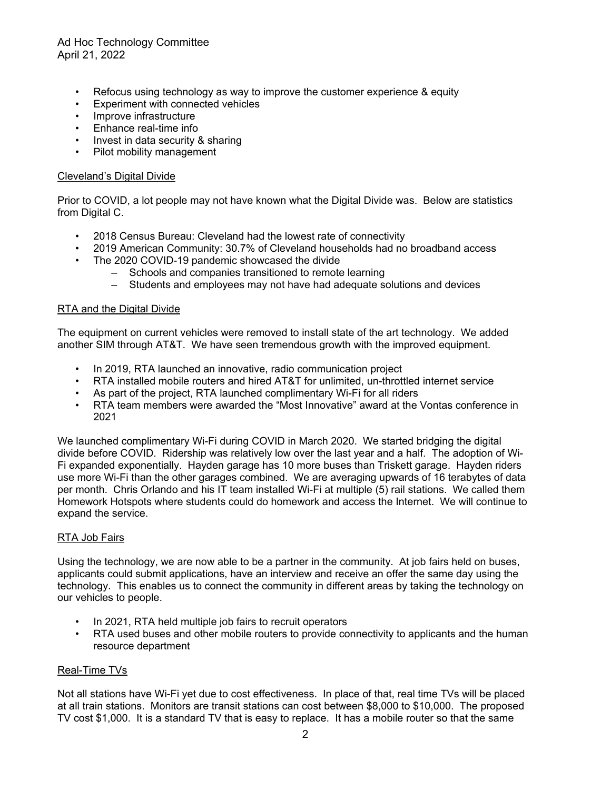# Ad Hoc Technology Committee April 21, 2022

- Refocus using technology as way to improve the customer experience & equity
- Experiment with connected vehicles
- Improve infrastructure
- Enhance real-time info
- Invest in data security & sharing
- Pilot mobility management

### Cleveland's Digital Divide

Prior to COVID, a lot people may not have known what the Digital Divide was. Below are statistics from Digital C.

- 2018 Census Bureau: Cleveland had the lowest rate of connectivity
- 2019 American Community: 30.7% of Cleveland households had no broadband access
- The 2020 COVID-19 pandemic showcased the divide
	- Schools and companies transitioned to remote learning
	- Students and employees may not have had adequate solutions and devices

### RTA and the Digital Divide

The equipment on current vehicles were removed to install state of the art technology. We added another SIM through AT&T. We have seen tremendous growth with the improved equipment.

- In 2019, RTA launched an innovative, radio communication project
- RTA installed mobile routers and hired AT&T for unlimited, un-throttled internet service
- As part of the project, RTA launched complimentary Wi-Fi for all riders
- RTA team members were awarded the "Most Innovative" award at the Vontas conference in 2021

We launched complimentary Wi-Fi during COVID in March 2020. We started bridging the digital divide before COVID. Ridership was relatively low over the last year and a half. The adoption of Wi-Fi expanded exponentially. Hayden garage has 10 more buses than Triskett garage. Hayden riders use more Wi-Fi than the other garages combined. We are averaging upwards of 16 terabytes of data per month. Chris Orlando and his IT team installed Wi-Fi at multiple (5) rail stations. We called them Homework Hotspots where students could do homework and access the Internet. We will continue to expand the service.

### RTA Job Fairs

Using the technology, we are now able to be a partner in the community. At job fairs held on buses, applicants could submit applications, have an interview and receive an offer the same day using the technology. This enables us to connect the community in different areas by taking the technology on our vehicles to people.

- In 2021, RTA held multiple job fairs to recruit operators
- RTA used buses and other mobile routers to provide connectivity to applicants and the human resource department

### Real-Time TVs

Not all stations have Wi-Fi yet due to cost effectiveness. In place of that, real time TVs will be placed at all train stations. Monitors are transit stations can cost between \$8,000 to \$10,000. The proposed TV cost \$1,000. It is a standard TV that is easy to replace. It has a mobile router so that the same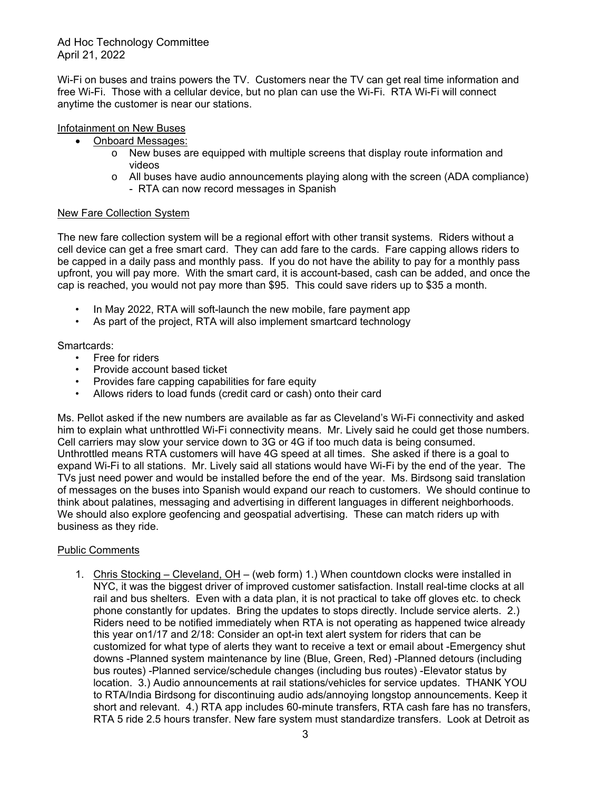Ad Hoc Technology Committee April 21, 2022

Wi-Fi on buses and trains powers the TV. Customers near the TV can get real time information and free Wi-Fi. Those with a cellular device, but no plan can use the Wi-Fi. RTA Wi-Fi will connect anytime the customer is near our stations.

### Infotainment on New Buses

- Onboard Messages:
	- o New buses are equipped with multiple screens that display route information and videos
	- $\circ$  All buses have audio announcements playing along with the screen (ADA compliance) - RTA can now record messages in Spanish

## New Fare Collection System

The new fare collection system will be a regional effort with other transit systems. Riders without a cell device can get a free smart card. They can add fare to the cards. Fare capping allows riders to be capped in a daily pass and monthly pass. If you do not have the ability to pay for a monthly pass upfront, you will pay more. With the smart card, it is account-based, cash can be added, and once the cap is reached, you would not pay more than \$95. This could save riders up to \$35 a month.

- In May 2022, RTA will soft-launch the new mobile, fare payment app
- As part of the project, RTA will also implement smartcard technology

## Smartcards:

- Free for riders
- Provide account based ticket
- Provides fare capping capabilities for fare equity
- Allows riders to load funds (credit card or cash) onto their card

Ms. Pellot asked if the new numbers are available as far as Cleveland's Wi-Fi connectivity and asked him to explain what unthrottled Wi-Fi connectivity means. Mr. Lively said he could get those numbers. Cell carriers may slow your service down to 3G or 4G if too much data is being consumed. Unthrottled means RTA customers will have 4G speed at all times. She asked if there is a goal to expand Wi-Fi to all stations. Mr. Lively said all stations would have Wi-Fi by the end of the year. The TVs just need power and would be installed before the end of the year. Ms. Birdsong said translation of messages on the buses into Spanish would expand our reach to customers. We should continue to think about palatines, messaging and advertising in different languages in different neighborhoods. We should also explore geofencing and geospatial advertising. These can match riders up with business as they ride.

### Public Comments

1. Chris Stocking – Cleveland, OH – (web form) 1.) When countdown clocks were installed in NYC, it was the biggest driver of improved customer satisfaction. Install real-time clocks at all rail and bus shelters. Even with a data plan, it is not practical to take off gloves etc. to check phone constantly for updates. Bring the updates to stops directly. Include service alerts. 2.) Riders need to be notified immediately when RTA is not operating as happened twice already this year on1/17 and 2/18: Consider an opt-in text alert system for riders that can be customized for what type of alerts they want to receive a text or email about -Emergency shut downs -Planned system maintenance by line (Blue, Green, Red) -Planned detours (including bus routes) -Planned service/schedule changes (including bus routes) -Elevator status by location. 3.) Audio announcements at rail stations/vehicles for service updates. THANK YOU to RTA/India Birdsong for discontinuing audio ads/annoying longstop announcements. Keep it short and relevant. 4.) RTA app includes 60-minute transfers, RTA cash fare has no transfers, RTA 5 ride 2.5 hours transfer. New fare system must standardize transfers. Look at Detroit as